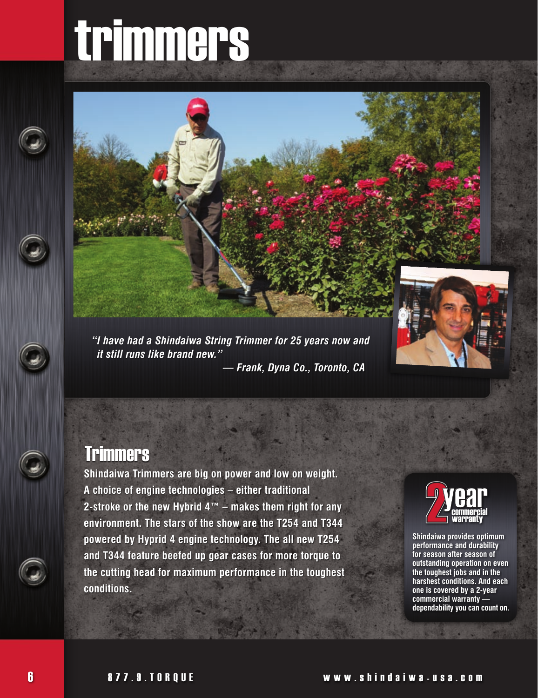# trimmers





*"I have had a Shindaiwa String Trimmer for 25 years now and it still runs like brand new." — Frank, Dyna Co., Toronto, CA*

#### **Trimmers**

**Shindaiwa Trimmers are big on power and low on weight. A choice of engine technologies – either traditional 2-stroke or the new Hybrid 4™ – makes them right for any environment. The stars of the show are the T254 and T344 powered by Hyprid 4 engine technology. The all new T254 and T344 feature beefed up gear cases for more torque to the cutting head for maximum performance in the toughest conditions.**



**Shindaiwa provides optimum performance and durability for season after season of outstanding operation on even the toughest jobs and in the harshest conditions. And each one is covered by a 2-year commercial warranty dependability you can count on.**